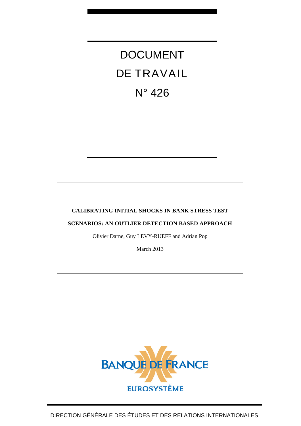DOCUMENT DE TRAVAIL N° 426

# **CALIBRATING INITIAL SHOCKS IN BANK STRESS TEST**

**SCENARIOS: AN OUTLIER DETECTION BASED APPROACH** 

Olivier Darne, Guy LEVY-RUEFF and Adrian Pop

March 2013

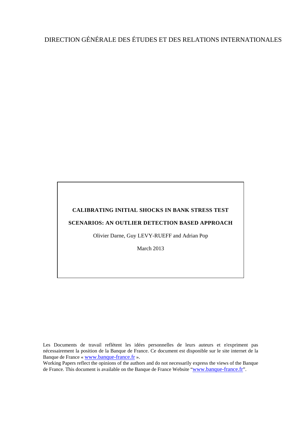# DIRECTION GÉNÉRALE DES ÉTUDES ET DES RELATIONS INTERNATIONALES

# **CALIBRATING INITIAL SHOCKS IN BANK STRESS TEST**

## **SCENARIOS: AN OUTLIER DETECTION BASED APPROACH**

Olivier Darne, Guy LEVY-RUEFF and Adrian Pop

March 2013

Les Documents de travail reflètent les idées personnelles de leurs auteurs et n'expriment pas nécessairement la position de la Banque de France. Ce document est disponible sur le site internet de la Banque de France « [www.banque-france.fr](http://www.banque-france.fr/) ».

Working Papers reflect the opinions of the authors and do not necessarily express the views of the Banque de France. This document is available on the Banque de France Website "[www.banque-france.fr](http://www.banque-france.fr/)".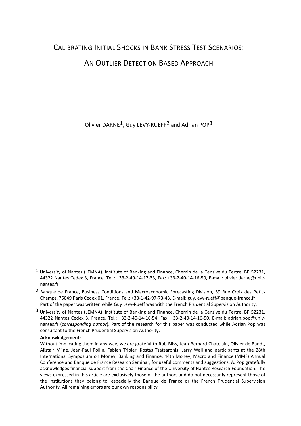# CALIBRATING INITIAL SHOCKS IN BANK STRESS TEST SCENARIOS:

# AN OUTLIER DETECTION BASED APPROACH

Olivier DARNE1, Guy LEVY-RUEFF2 and Adrian POP3

#### **Acknowledgements**

<sup>1</sup> University of Nantes (LEMNA), Institute of Banking and Finance, Chemin de la Censive du Tertre, BP 52231, 44322 Nantes Cedex 3, France, Tel.: +33-2-40-14-17-33, Fax: +33-2-40-14-16-50, E-mail: olivier.darne@univnantes.fr

<sup>2</sup> Banque de France, Business Conditions and Macroeconomic Forecasting Division, 39 Rue Croix des Petits Champs, 75049 Paris Cedex 01, France, Tel.: +33-1-42-97-73-43, E-mail: guy.levy-rueff@banque-france.fr Part of the paper was written while Guy Levy-Rueff was with the French Prudential Supervision Authority.

<sup>3</sup> University of Nantes (LEMNA), Institute of Banking and Finance, Chemin de la Censive du Tertre, BP 52231, 44322 Nantes Cedex 3, France, Tel.: +33-2-40-14-16-54, Fax: +33-2-40-14-16-50, E-mail: adrian.pop@univnantes.fr (*corresponding author*). Part of the research for this paper was conducted while Adrian Pop was consultant to the French Prudential Supervision Authority.

Without implicating them in any way, we are grateful to Rob Bliss, Jean-Bernard Chatelain, Olivier de Bandt, Alistair Milne, Jean-Paul Pollin, Fabien Tripier, Kostas Tsatsaronis, Larry Wall and participants at the 28th International Symposium on Money, Banking and Finance, 44th Money, Macro and Finance (MMF) Annual Conference and Banque de France Research Seminar, for useful comments and suggestions. A. Pop gratefully acknowledges financial support from the Chair Finance of the University of Nantes Research Foundation. The views expressed in this article are exclusively those of the authors and do not necessarily represent those of the institutions they belong to, especially the Banque de France or the French Prudential Supervision Authority. All remaining errors are our own responsibility.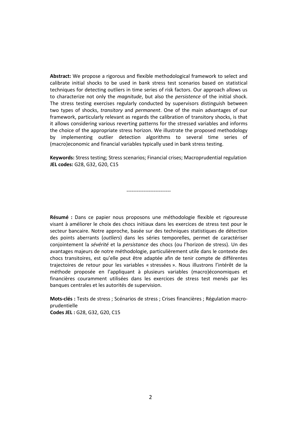**Abstract:** We propose a rigorous and flexible methodological framework to select and calibrate initial shocks to be used in bank stress test scenarios based on statistical techniques for detecting outliers in time series of risk factors. Our approach allows us to characterize not only the *magnitude*, but also the *persistence* of the initial shock. The stress testing exercises regularly conducted by supervisors distinguish between two types of shocks, *transitory* and *permanent*. One of the main advantages of our framework, particularly relevant as regards the calibration of transitory shocks, is that it allows considering various reverting patterns for the stressed variables and informs the choice of the appropriate stress horizon. We illustrate the proposed methodology by implementing outlier detection algorithms to several time series of (macro)economic and financial variables typically used in bank stress testing.

**Keywords:** Stress testing; Stress scenarios; Financial crises; Macroprudential regulation **JEL codes:** G28, G32, G20, C15

--------------------------

**Résumé :** Dans ce papier nous proposons une méthodologie flexible et rigoureuse visant à améliorer le choix des chocs initiaux dans les exercices de stress test pour le secteur bancaire. Notre approche, basée sur des techniques statistiques de détection des points aberrants (*outliers*) dans les séries temporelles, permet de caractériser conjointement la *sévérité* et la *persistance* des chocs (ou l'horizon de stress). Un des avantages majeurs de notre méthodologie, particulièrement utile dans le contexte des chocs transitoires, est qu'elle peut être adaptée afin de tenir compte de différentes trajectoires de retour pour les variables « stressées ». Nous illustrons l'intérêt de la méthode proposée en l'appliquant à plusieurs variables (macro)économiques et financières couramment utilisées dans les exercices de stress test menés par les banques centrales et les autorités de supervision.

**Mots-clés :** Tests de stress ; Scénarios de stress ; Crises financières ; Régulation macroprudentielle **Codes JEL :** G28, G32, G20, C15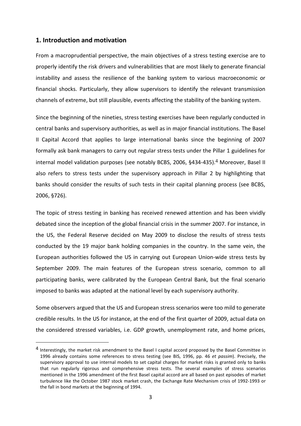# **1. Introduction and motivation**

 $\overline{a}$ 

From a macroprudential perspective, the main objectives of a stress testing exercise are to properly identify the risk drivers and vulnerabilities that are most likely to generate financial instability and assess the resilience of the banking system to various macroeconomic or financial shocks. Particularly, they allow supervisors to identify the relevant transmission channels of extreme, but still plausible, events affecting the stability of the banking system.

Since the beginning of the nineties, stress testing exercises have been regularly conducted in central banks and supervisory authorities, as well as in major financial institutions. The Basel II Capital Accord that applies to large international banks since the beginning of 2007 formally ask bank managers to carry out regular stress tests under the Pillar 1 guidelines for internal model validation purposes (see notably BCBS, 2006, §434-435).<sup>4</sup> Moreover, Basel II also refers to stress tests under the supervisory approach in Pillar 2 by highlighting that banks should consider the results of such tests in their capital planning process (see BCBS, 2006, §726).

The topic of stress testing in banking has received renewed attention and has been vividly debated since the inception of the global financial crisis in the summer 2007. For instance, in the US, the Federal Reserve decided on May 2009 to disclose the results of stress tests conducted by the 19 major bank holding companies in the country. In the same vein, the European authorities followed the US in carrying out European Union-wide stress tests by September 2009. The main features of the European stress scenario, common to all participating banks, were calibrated by the European Central Bank, but the final scenario imposed to banks was adapted at the national level by each supervisory authority.

Some observers argued that the US and European stress scenarios were too mild to generate credible results. In the US for instance, at the end of the first quarter of 2009, actual data on the considered stressed variables, i.e. GDP growth, unemployment rate, and home prices,

<sup>4</sup> Interestingly, the market risk amendment to the Basel I capital accord proposed by the Basel Committee in 1996 already contains some references to stress testing (see BIS, 1996, pp. 46 *et passim*). Precisely, the supervisory approval to use internal models to set capital charges for market risks is granted only to banks that run regularly rigorous and comprehensive stress tests. The several examples of stress scenarios mentioned in the 1996 amendment of the first Basel capital accord are all based on past episodes of market turbulence like the October 1987 stock market crash, the Exchange Rate Mechanism crisis of 1992-1993 or the fall in bond markets at the beginning of 1994.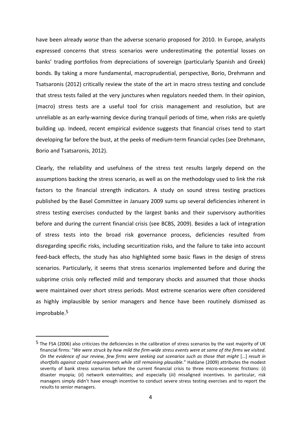have been already *worse* than the adverse scenario proposed for 2010. In Europe, analysts expressed concerns that stress scenarios were underestimating the potential losses on banks' trading portfolios from depreciations of sovereign (particularly Spanish and Greek) bonds. By taking a more fundamental, macroprudential, perspective, Borio, Drehmann and Tsatsaronis (2012) critically review the state of the art in macro stress testing and conclude that stress tests failed at the very junctures when regulators needed them. In their opinion, (macro) stress tests are a useful tool for crisis management and resolution, but are unreliable as an early-warning device during tranquil periods of time, when risks are quietly building up. Indeed, recent empirical evidence suggests that financial crises tend to start developing far before the bust, at the peeks of medium-term financial cycles (see Drehmann, Borio and Tsatsaronis, 2012).

Clearly, the reliability and usefulness of the stress test results largely depend on the assumptions backing the stress scenario, as well as on the methodology used to link the risk factors to the financial strength indicators. A study on sound stress testing practices published by the Basel Committee in January 2009 sums up several deficiencies inherent in stress testing exercises conducted by the largest banks and their supervisory authorities before and during the current financial crisis (see BCBS, 2009). Besides a lack of integration of stress tests into the broad risk governance process, deficiencies resulted from disregarding specific risks, including securitization risks, and the failure to take into account feed-back effects, the study has also highlighted some basic flaws in the design of stress scenarios. Particularly, it seems that stress scenarios implemented before and during the subprime crisis only reflected mild and temporary shocks and assumed that those shocks were maintained over short stress periods. Most extreme scenarios were often considered as highly implausible by senior managers and hence have been routinely dismissed as improbable.5

<sup>5</sup> The FSA (2006) also criticizes the deficiencies in the calibration of stress scenarios by the vast majority of UK financial firms: "*We were struck by how mild the firm-wide stress events were at some of the firms we visited. On the evidence of our review, few firms were seeking out scenarios such as those that might* [...] *result in shortfalls against capital requirements while still remaining plausible.*" Haldane (2009) attributes the modest severity of bank stress scenarios before the current financial crisis to three micro-economic frictions: (*i*) disaster myopia; (*ii*) network externalities; and especially (*iii*) misaligned incentives. In particular, risk managers simply didn't have enough incentive to conduct severe stress testing exercises and to report the results to senior managers.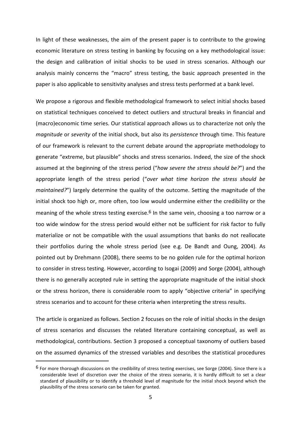In light of these weaknesses, the aim of the present paper is to contribute to the growing economic literature on stress testing in banking by focusing on a key methodological issue: the design and calibration of initial shocks to be used in stress scenarios. Although our analysis mainly concerns the "macro" stress testing, the basic approach presented in the paper is also applicable to sensitivity analyses and stress tests performed at a bank level.

We propose a rigorous and flexible methodological framework to select initial shocks based on statistical techniques conceived to detect outliers and structural breaks in financial and (macro)economic time series. Our statistical approach allows us to characterize not only the *magnitude* or *severity* of the initial shock, but also its *persistence* through time. This feature of our framework is relevant to the current debate around the appropriate methodology to generate "extreme, but plausible" shocks and stress scenarios. Indeed, the size of the shock assumed at the beginning of the stress period ("*how severe the stress should be?*") and the appropriate length of the stress period ("*over what time horizon the stress should be maintained?*") largely determine the quality of the outcome. Setting the magnitude of the initial shock too high or, more often, too low would undermine either the credibility or the meaning of the whole stress testing exercise.<sup>6</sup> In the same vein, choosing a too narrow or a too wide window for the stress period would either not be sufficient for risk factor to fully materialize or not be compatible with the usual assumptions that banks do not reallocate their portfolios during the whole stress period (see e.g. De Bandt and Oung, 2004). As pointed out by Drehmann (2008), there seems to be no golden rule for the optimal horizon to consider in stress testing. However, according to Isogai (2009) and Sorge (2004), although there is no generally accepted rule in setting the appropriate magnitude of the initial shock or the stress horizon, there is considerable room to apply "objective criteria" in specifying stress scenarios and to account for these criteria when interpreting the stress results.

The article is organized as follows. Section 2 focuses on the role of initial shocks in the design of stress scenarios and discusses the related literature containing conceptual, as well as methodological, contributions. Section 3 proposed a conceptual taxonomy of outliers based on the assumed dynamics of the stressed variables and describes the statistical procedures

<sup>6</sup> For more thorough discussions on the credibility of stress testing exercises, see Sorge (2004). Since there is a considerable level of discretion over the choice of the stress scenario, it is hardly difficult to set a clear standard of plausibility or to identify a threshold level of magnitude for the initial shock beyond which the plausibility of the stress scenario can be taken for granted.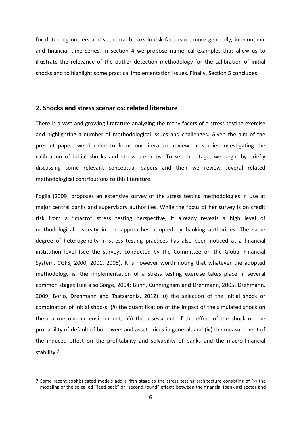for detecting outliers and structural breaks in risk factors or, more generally, in economic and financial time series. In section 4 we propose numerical examples that allow us to illustrate the relevance of the outlier detection methodology for the calibration of initial shocks and to highlight some practical implementation issues. Finally, Section 5 concludes.

## **2. Shocks and stress scenarios: related literature**

There is a vast and growing literature analyzing the many facets of a stress testing exercise and highlighting a number of methodological issues and challenges. Given the aim of the present paper, we decided to focus our literature review on studies investigating the calibration of initial shocks and stress scenarios. To set the stage, we begin by briefly discussing some relevant conceptual papers and then we review several related methodological contributions to this literature.

Foglia (2009) proposes an extensive survey of the stress testing methodologies in use at major central banks and supervisory authorities. While the focus of her survey is on credit risk from a "macro" stress testing perspective, it already reveals a high level of methodological diversity in the approaches adopted by banking authorities. The same degree of heterogeneity in stress testing practices has also been noticed at a financial institution level (see the surveys conducted by the Committee on the Global Financial System, CGFS, 2000, 2001, 2005). It is however worth noting that whatever the adopted methodology is, the implementation of a stress testing exercise takes place in several common stages (see also Sorge, 2004; Bunn, Cunningham and Drehmann, 2005; Drehmann, 2009; Borio, Drehmann and Tsatsaronis, 2012): (*i*) the selection of the initial shock or combination of initial shocks; (*ii*) the quantification of the impact of the simulated shock on the macroeconomic environment; (*iii*) the assessment of the effect of the shock on the probability of default of borrowers and asset prices in general; and (*iv*) the measurement of the induced effect on the profitability and solvability of banks and the macro-financial stability.7

<sup>7</sup> Some recent sophisticated models add a fifth stage to the stress testing architecture consisting of (*v*) the modeling of the so-called "feed-back" or "second round" effects between the financial (banking) sector and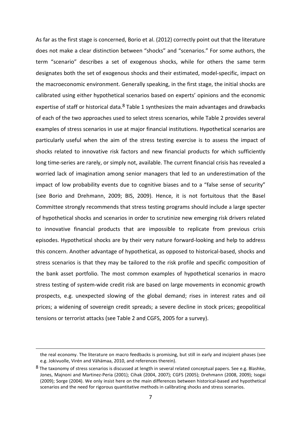As far as the first stage is concerned, Borio et al. (2012) correctly point out that the literature does not make a clear distinction between "shocks" and "scenarios." For some authors, the term "scenario" describes a set of exogenous shocks, while for others the same term designates both the set of exogenous shocks and their estimated, model-specific, impact on the macroeconomic environment. Generally speaking, in the first stage, the initial shocks are calibrated using either hypothetical scenarios based on experts' opinions and the economic expertise of staff or historical data. $8$  Table 1 synthesizes the main advantages and drawbacks of each of the two approaches used to select stress scenarios, while Table 2 provides several examples of stress scenarios in use at major financial institutions. Hypothetical scenarios are particularly useful when the aim of the stress testing exercise is to assess the impact of shocks related to innovative risk factors and new financial products for which sufficiently long time-series are rarely, or simply not, available. The current financial crisis has revealed a worried lack of imagination among senior managers that led to an underestimation of the impact of low probability events due to cognitive biases and to a "false sense of security" (see Borio and Drehmann, 2009; BIS, 2009). Hence, it is not fortuitous that the Basel Committee strongly recommends that stress testing programs should include a large specter of hypothetical shocks and scenarios in order to scrutinize new emerging risk drivers related to innovative financial products that are impossible to replicate from previous crisis episodes. Hypothetical shocks are by their very nature forward-looking and help to address this concern. Another advantage of hypothetical, as opposed to historical-based, shocks and stress scenarios is that they may be tailored to the risk profile and specific composition of the bank asset portfolio. The most common examples of hypothetical scenarios in macro stress testing of system-wide credit risk are based on large movements in economic growth prospects, e.g. unexpected slowing of the global demand; rises in interest rates and oil prices; a widening of sovereign credit spreads; a severe decline in stock prices; geopolitical tensions or terrorist attacks (see Table 2 and CGFS, 2005 for a survey).

<u>.</u>

the real economy. The literature on macro feedbacks is promising, but still in early and incipient phases (see e.g. Jokivuolle, Virén and Vähämaa, 2010, and references therein).

<sup>8</sup> The taxonomy of stress scenarios is discussed at length in several related conceptual papers. See e.g. Blashke, Jones, Majnoni and Martinez-Peria (2001); Cihak (2004, 2007); CGFS (2005); Drehmann (2008, 2009); Isogai (2009); Sorge (2004). We only insist here on the main differences between historical-based and hypothetical scenarios and the need for rigorous quantitative methods in calibrating shocks and stress scenarios.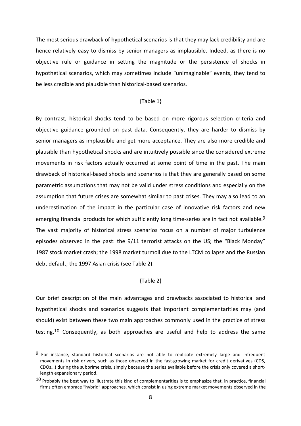The most serious drawback of hypothetical scenarios is that they may lack credibility and are hence relatively easy to dismiss by senior managers as implausible. Indeed, as there is no objective rule or guidance in setting the magnitude or the persistence of shocks in hypothetical scenarios, which may sometimes include "unimaginable" events, they tend to be less credible and plausible than historical-based scenarios.

#### {Table 1}

By contrast, historical shocks tend to be based on more rigorous selection criteria and objective guidance grounded on past data. Consequently, they are harder to dismiss by senior managers as implausible and get more acceptance. They are also more credible and plausible than hypothetical shocks and are intuitively possible since the considered extreme movements in risk factors actually occurred at some point of time in the past. The main drawback of historical-based shocks and scenarios is that they are generally based on some parametric assumptions that may not be valid under stress conditions and especially on the assumption that future crises are somewhat similar to past crises. They may also lead to an underestimation of the impact in the particular case of innovative risk factors and new emerging financial products for which sufficiently long time-series are in fact not available.<sup>9</sup> The vast majority of historical stress scenarios focus on a number of major turbulence episodes observed in the past: the 9/11 terrorist attacks on the US; the "Black Monday" 1987 stock market crash; the 1998 market turmoil due to the LTCM collapse and the Russian debt default; the 1997 Asian crisis (see Table 2).

## {Table 2}

Our brief description of the main advantages and drawbacks associated to historical and hypothetical shocks and scenarios suggests that important complementarities may (and should) exist between these two main approaches commonly used in the practice of stress testing.10 Consequently, as both approaches are useful and help to address the same

<sup>9</sup> For instance, standard historical scenarios are not able to replicate extremely large and infrequent movements in risk drivers, such as those observed in the fast-growing market for credit derivatives (CDS, CDOs…) during the subprime crisis, simply because the series available before the crisis only covered a shortlength expansionary period.

 $10$  Probably the best way to illustrate this kind of complementarities is to emphasize that, in practice, financial firms often embrace "hybrid" approaches, which consist in using extreme market movements observed in the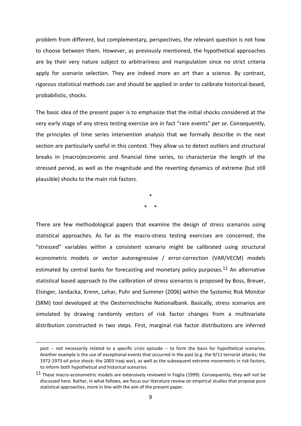problem from different, but complementary, perspectives, the relevant question is not how to choose between them. However, as previously mentioned, the hypothetical approaches are by their very nature subject to arbitrariness and manipulation since no strict criteria apply for scenario selection. They are indeed more an art than a science. By contrast, rigorous statistical methods can and should be applied in order to calibrate historical-based, probabilistic, shocks.

The basic idea of the present paper is to emphasize that the initial shocks considered at the very early stage of any stress testing exercise are in fact "rare events" *per se*. Consequently, the principles of time series intervention analysis that we formally describe in the next section are particularly useful in this context. They allow us to detect outliers and structural breaks in (macro)economic and financial time series, to characterize the length of the stressed period, as well as the magnitude and the reverting dynamics of extreme (but still plausible) shocks to the main risk factors.

> \* \* \*

There are few methodological papers that examine the design of stress scenarios using statistical approaches. As far as the macro-stress testing exercises are concerned, the "stressed" variables within a consistent scenario might be calibrated using structural econometric models or vector autoregressive / error-correction (VAR/VECM) models estimated by central banks for forecasting and monetary policy purposes.<sup>11</sup> An alternative statistical based approach to the calibration of stress scenarios is proposed by Boss, Breuer, Elsinger, Jandacka, Krenn, Lehar, Puhr and Summer (2006) within the Systemic Risk Monitor (SRM) tool developed at the Oesterreichische Nationalbank. Basically, stress scenarios are simulated by drawing randomly vectors of risk factor changes from a multivariate distribution constructed in two steps. First, marginal risk factor distributions are inferred

<u>.</u>

past -- not necessarily related to a specific crisis episode -- to form the basis for hypothetical scenarios. Another example is the use of exceptional events that occurred in the past (e.g. the 9/11 terrorist attacks; the 1972-1973 oil price shock; the 2003 Iraqi war), as well as the subsequent extreme movements in risk factors, to inform both hypothetical and historical scenarios.

<sup>&</sup>lt;sup>11</sup> These macro-econometric models are extensively reviewed in Foglia (1999). Consequently, they will not be discussed here. Rather, in what follows, we focus our literature review on empirical studies that propose pure statistical approaches, more in line with the aim of the present paper.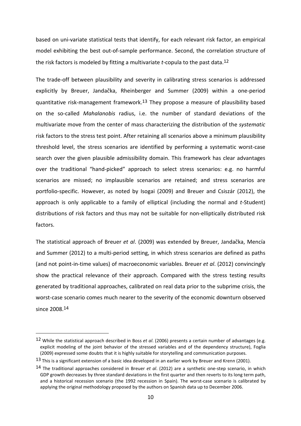based on uni-variate statistical tests that identify, for each relevant risk factor, an empirical model exhibiting the best out-of-sample performance. Second, the correlation structure of the risk factors is modeled by fitting a multivariate *t*-copula to the past data.12

The trade-off between plausibility and severity in calibrating stress scenarios is addressed explicitly by Breuer, Jandačka, Rheinberger and Summer (2009) within a one-period quantitative risk-management framework.13 They propose a measure of plausibility based on the so-called *Mahalanobis* radius, i.e. the number of standard deviations of the multivariate move from the center of mass characterizing the distribution of the *systematic* risk factors to the stress test point. After retaining all scenarios above a minimum plausibility threshold level, the stress scenarios are identified by performing a systematic worst-case search over the given plausible admissibility domain. This framework has clear advantages over the traditional "hand-picked" approach to select stress scenarios: e.g. no harmful scenarios are missed; no implausible scenarios are retained; and stress scenarios are portfolio-specific. However, as noted by Isogai (2009) and Breuer and Csiszár (2012), the approach is only applicable to a family of elliptical (including the normal and *t*-Student) distributions of risk factors and thus may not be suitable for non-elliptically distributed risk factors.

The statistical approach of Breuer *et al*. (2009) was extended by Breuer, Jandačka, Mencía and Summer (2012) to a multi-period setting, in which stress scenarios are defined as paths (and not point-in-time values) of macroeconomic variables. Breuer *et al*. (2012) convincingly show the practical relevance of their approach. Compared with the stress testing results generated by traditional approaches, calibrated on real data prior to the subprime crisis, the worst-case scenario comes much nearer to the severity of the economic downturn observed since 2008.14

<sup>12</sup> While the statistical approach described in Boss *et al*. (2006) presents a certain number of advantages (e.g. explicit modeling of the joint behavior of the stressed variables and of the dependency structure), Foglia (2009) expressed some doubts that it is highly suitable for storytelling and communication purposes.

<sup>&</sup>lt;sup>13</sup> This is a significant extension of a basic idea developed in an earlier work by Breuer and Krenn (2001).

<sup>14</sup> The traditional approaches considered in Breuer *et al*. (2012) are a synthetic one-step scenario, in which GDP growth decreases by three standard deviations in the first quarter and then reverts to its long term path, and a historical recession scenario (the 1992 recession in Spain). The worst-case scenario is calibrated by applying the original methodology proposed by the authors on Spanish data up to December 2006.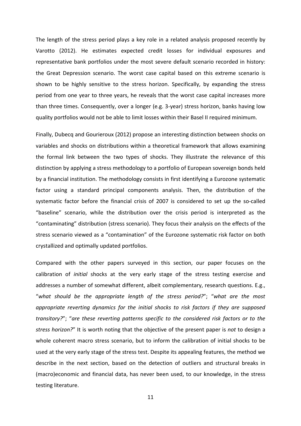The length of the stress period plays a key role in a related analysis proposed recently by Varotto (2012). He estimates expected credit losses for individual exposures and representative bank portfolios under the most severe default scenario recorded in history: the Great Depression scenario. The worst case capital based on this extreme scenario is shown to be highly sensitive to the stress horizon. Specifically, by expanding the stress period from one year to three years, he reveals that the worst case capital increases more than three times. Consequently, over a longer (e.g. 3-year) stress horizon, banks having low quality portfolios would not be able to limit losses within their Basel II required minimum.

Finally, Dubecq and Gourieroux (2012) propose an interesting distinction between shocks on variables and shocks on distributions within a theoretical framework that allows examining the formal link between the two types of shocks. They illustrate the relevance of this distinction by applying a stress methodology to a portfolio of European sovereign bonds held by a financial institution. The methodology consists in first identifying a Eurozone systematic factor using a standard principal components analysis. Then, the distribution of the systematic factor before the financial crisis of 2007 is considered to set up the so-called "baseline" scenario, while the distribution over the crisis period is interpreted as the "contaminating" distribution (stress scenario). They focus their analysis on the effects of the stress scenario viewed as a "contamination" of the Eurozone systematic risk factor on both crystallized and optimally updated portfolios.

Compared with the other papers surveyed in this section, our paper focuses on the calibration of *initial* shocks at the very early stage of the stress testing exercise and addresses a number of somewhat different, albeit complementary, research questions. E.g., "*what should be the appropriate length of the stress period?*"; "*what are the most appropriate reverting dynamics for the initial shocks to risk factors if they are supposed transitory?*"; "*are these reverting patterns specific to the considered risk factors or to the stress horizon?*" It is worth noting that the objective of the present paper is *not* to design a whole coherent macro stress scenario, but to inform the calibration of initial shocks to be used at the very early stage of the stress test. Despite its appealing features, the method we describe in the next section, based on the detection of outliers and structural breaks in (macro)economic and financial data, has never been used, to our knowledge, in the stress testing literature.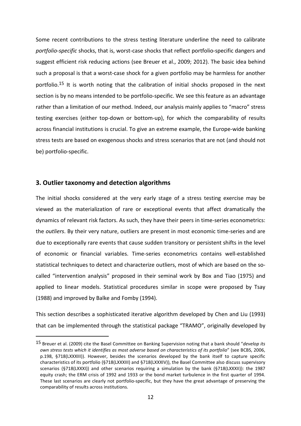Some recent contributions to the stress testing literature underline the need to calibrate *portfolio-specific* shocks, that is, worst-case shocks that reflect portfolio-specific dangers and suggest efficient risk reducing actions (see Breuer et al., 2009; 2012). The basic idea behind such a proposal is that a worst-case shock for a given portfolio may be harmless for another portfolio.15 It is worth noting that the calibration of initial shocks proposed in the next section is by no means intended to be portfolio-specific. We see this feature as an advantage rather than a limitation of our method. Indeed, our analysis mainly applies to "macro" stress testing exercises (either top-down or bottom-up), for which the comparability of results across financial institutions is crucial. To give an extreme example, the Europe-wide banking stress tests are based on exogenous shocks and stress scenarios that are not (and should not be) portfolio-specific.

# **3. Outlier taxonomy and detection algorithms**

 $\overline{a}$ 

The initial shocks considered at the very early stage of a stress testing exercise may be viewed as the materialization of rare or exceptional events that affect dramatically the dynamics of relevant risk factors. As such, they have their peers in time-series econometrics: the *outliers*. By their very nature, outliers are present in most economic time-series and are due to exceptionally rare events that cause sudden transitory or persistent shifts in the level of economic or financial variables. Time-series econometrics contains well-established statistical techniques to detect and characterize outliers, most of which are based on the socalled "intervention analysis" proposed in their seminal work by Box and Tiao (1975) and applied to linear models. Statistical procedures similar in scope were proposed by Tsay (1988) and improved by Balke and Fomby (1994).

This section describes a sophisticated iterative algorithm developed by Chen and Liu (1993) that can be implemented through the statistical package "TRAMO", originally developed by

<sup>15</sup> Breuer et al. (2009) cite the Basel Committee on Banking Supervision noting that a bank should "*develop its own stress tests which it identifies as most adverse based on characteristics of its portfolio*" (see BCBS, 2006, p.198, §718(LXXXIII)). However, besides the scenarios developed by the bank itself to capture specific characteristics of its portfolio (§718(LXXXIII) and §718(LXXXIV)), the Basel Committee also discuss supervisory scenarios (§718(LXXXI)) and other scenarios requiring a simulation by the bank (§718(LXXXII)): the 1987 equity crash; the ERM crisis of 1992 and 1933 or the bond market turbulence in the first quarter of 1994. These last scenarios are clearly not portfolio-specific, but they have the great advantage of preserving the comparability of results across institutions.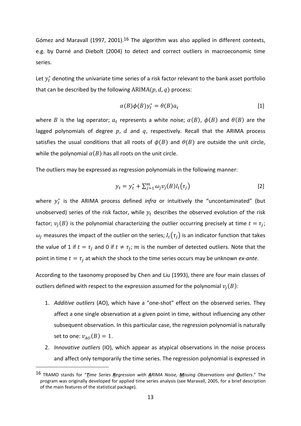Gómez and Maravall (1997, 2001).<sup>16</sup> The algorithm was also applied in different contexts, e.g. by Darné and Diebolt (2004) to detect and correct outliers in macroeconomic time series.

Let  $y_t^*$  denoting the univariate time series of a risk factor relevant to the bank asset portfolio that can be described by the following  $ARIMA(p,d,q)$  process:

$$
\alpha(B)\phi(B)y_t^* = \theta(B)a_t \tag{1}
$$

where  $B$  is the lag operator;  $a_t$  represents a white noise;  $\alpha(B)$ ,  $\phi(B)$  and  $\theta(B)$  are the lagged polynomials of degree  $p, d$  and  $q,$  respectively. Recall that the ARIMA process satisfies the usual conditions that all roots of  $\phi(B)$  and  $\theta(B)$  are outside the unit circle, while the polynomial  $\alpha(B)$  has all roots on the unit circle.

The outliers may be expressed as regression polynomials in the following manner:

$$
y_t = y_t^* + \sum_{j=1}^m \omega_j v_j(B) l_t(\tau_j)
$$
 [2]

where  $y_t^*$  is the ARIMA process defined *infra* or intuitively the "uncontaminated" (but unobserved) series of the risk factor, while  $y_t$  describes the observed evolution of the risk factor;  $v_j(B)$  is the polynomial characterizing the outlier occurring precisely at time  $t = \tau_j$ ;  $\omega_j$  measures the impact of the outlier on the series;  $l_t(\tau_j)$  is an indicator function that takes the value of 1 if  $t = \tau_j$  and 0 if  $t \neq \tau_j$ ; m is the number of detected outliers. Note that the point in time  $t = \tau_j$  at which the shock to the time series occurs may be unknown *ex-ante*.

According to the taxonomy proposed by Chen and Liu (1993), there are four main classes of outliers defined with respect to the expression assumed for the polynomial  $v_j(B)$ :

- 1. *Additive outliers* (AO), which have a "one-shot" effect on the observed series. They affect a one single observation at a given point in time, without influencing any other subsequent observation. In this particular case, the regression polynomial is naturally set to one:  $v_{AO}(B) = 1$ .
- 2. *Innovative outliers* (IO), which appear as atypical observations in the noise process and affect only temporarily the time series. The regression polynomial is expressed in

<sup>16</sup> TRAMO stands for "*Time Series Regression with ARIMA Noise, Missing Observations and Outliers*." The program was originally developed for applied time series analysis (see Maravall, 2005, for a brief description of the main features of the statistical package).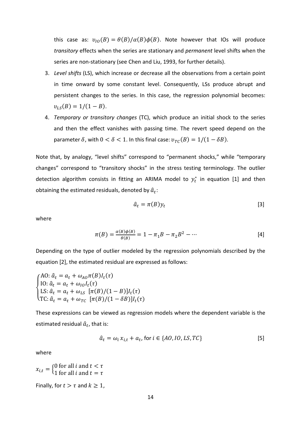this case as:  $v_{10}(B) = \theta(B)/\alpha(B)\phi(B)$ . Note however that IOs will produce *transitory* effects when the series are stationary and *permanent* level shifts when the series are non-stationary (see Chen and Liu, 1993, for further details).

- 3. *Level shifts* (LS), which increase or decrease all the observations from a certain point in time onward by some constant level. Consequently, LSs produce abrupt and persistent changes to the series. In this case, the regression polynomial becomes:  $v_{LS}(B) = 1/(1 - B).$
- 4. *Temporary or transitory changes* (TC), which produce an initial shock to the series and then the effect vanishes with passing time. The revert speed depend on the parameter  $\delta$ , with  $0 < \delta < 1$ . In this final case:  $v_{TC}(B) = 1/(1 - \delta B)$ .

Note that, by analogy, "level shifts" correspond to "permanent shocks," while "temporary changes" correspond to "transitory shocks" in the stress testing terminology. The outlier detection algorithm consists in fitting an ARIMA model to  $y_t^*$  in equation [1] and then obtaining the estimated residuals, denoted by  $\hat{a}_t$ :

$$
\hat{a}_t = \pi(B)y_t \tag{3}
$$

where

$$
\pi(B) = \frac{\alpha(B)\phi(B)}{\theta(B)} = 1 - \pi_1 B - \pi_2 B^2 - \dots
$$
 [4]

Depending on the type of outlier modeled by the regression polynomials described by the equation [2], the estimated residual are expressed as follows:

$$
\begin{cases}\n\text{A0: } \hat{a}_t = a_t + \omega_{A0} \pi(B) I_t(\tau) \\
\text{I0: } \hat{a}_t = a_t + \omega_{I0} I_t(\tau) \\
\text{LS: } \hat{a}_t = a_t + \omega_{LS} \left[ \pi(B) / (1 - B) \right] I_t(\tau) \\
\text{TC: } \hat{a}_t = a_t + \omega_{TC} \left[ \pi(B) / (1 - \delta B) \right] I_t(\tau)\n\end{cases}
$$

These expressions can be viewed as regression models where the dependent variable is the estimated residual  $\widehat{a}_t$ , that is:

$$
\hat{a}_t = \omega_i x_{i,t} + a_t, \text{ for } i \in \{AO, IO, LS, TC\} \tag{5}
$$

where

 $x_{i,t} = \begin{cases} 0 \text{ for all } i \text{ and } t < \tau \\ 1 \text{ for all } i \text{ and } t = \tau \end{cases}$ 

Finally, for  $t > \tau$  and  $k \ge 1$ ,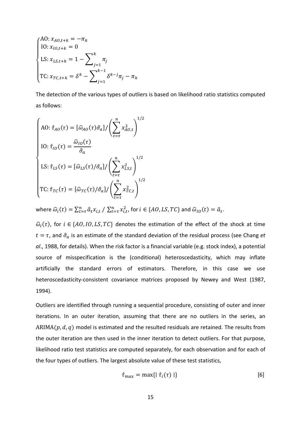$$
\begin{cases}\n\text{A0: } x_{A0,t+k} = -\pi_k \\
\text{IO: } x_{I0,t+k} = 0 \\
\text{LS: } x_{LS,t+k} = 1 - \sum_{j=1}^k \pi_j \\
\text{TC: } x_{TC,t+k} = \delta^k - \sum_{j=1}^{k-1} \delta^{k-j} \pi_j - \pi_k\n\end{cases}
$$

The detection of the various types of outliers is based on likelihood ratio statistics computed as follows:

$$
\begin{cases}\n\text{AO: } \hat{\tau}_{AO}(\tau) = [\hat{\omega}_{AO}(\tau)\hat{\sigma}_a]/\left(\sum_{t=\tau}^n x_{AO,t}^2\right)^{1/2} \\
\text{IO: } \hat{\tau}_{IO}(\tau) = \frac{\hat{\omega}_{IO}(\tau)}{\hat{\sigma}_a} \\
\text{LS: } \hat{\tau}_{LS}(\tau) = [\hat{\omega}_{LS}(\tau)/\hat{\sigma}_a]/\left(\sum_{t=\tau}^n x_{LS,t}^2\right)^{1/2} \\
\text{TC: } \hat{\tau}_{TC}(\tau) = [\hat{\omega}_{TC}(\tau)/\hat{\sigma}_a]/\left(\sum_{t=\tau}^n x_{TC,t}^2\right)^{1/2}\n\end{cases}
$$

where  $\widehat{\omega}_i(t) = \sum_{t=\tau}^n \widehat{a}_t x_{i,t} / \sum_{t=\tau}^n x_{i,t}^2$ , for  $i \in \{AO, LS, TC\}$  and  $\widehat{\omega}_{IO}(t) = \widehat{a}_t$ .

 $\widehat{\omega}_i(\tau)$ , for  $i \in \{AO, IO, LS, TC\}$  denotes the estimation of the effect of the shock at time  $t = \tau$ , and  $\hat{\sigma}_a$  is an estimate of the standard deviation of the residual process (see Chang *et al*., 1988, for details). When the risk factor is a financial variable (e.g. stock index), a potential source of misspecification is the (conditional) heteroscedasticity, which may inflate artificially the standard errors of estimators. Therefore, in this case we use heteroscedasticity-consistent covariance matrices proposed by Newey and West (1987, 1994).

Outliers are identified through running a sequential procedure, consisting of outer and inner iterations. In an outer iteration, assuming that there are no outliers in the series, an  $ARIMA(p, d, q)$  model is estimated and the resulted residuals are retained. The results from the outer iteration are then used in the inner iteration to detect outliers. For that purpose, likelihood ratio test statistics are computed separately, for each observation and for each of the four types of outliers. The largest absolute value of these test statistics,

$$
\hat{\tau}_{max} = \max\{|\hat{\tau}_i(\tau)|\}\tag{6}
$$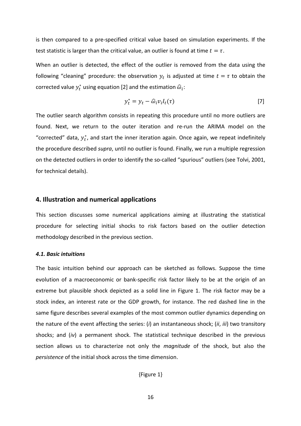is then compared to a pre-specified critical value based on simulation experiments. If the test statistic is larger than the critical value, an outlier is found at time  $t = \tau$ .

When an outlier is detected, the effect of the outlier is removed from the data using the following "cleaning" procedure: the observation  $y_t$  is adjusted at time  $t = \tau$  to obtain the corrected value  $y_t^*$  using equation [2] and the estimation  $\widehat{\omega}_i$ :

$$
y_t^* = y_t - \widehat{\omega}_i v_i I_t(\tau) \tag{7}
$$

The outlier search algorithm consists in repeating this procedure until no more outliers are found. Next, we return to the outer iteration and re-run the ARIMA model on the "corrected" data,  $y_t^*$ , and start the inner iteration again. Once again, we repeat indefinitely the procedure described *supra*, until no outlier is found. Finally, we run a multiple regression on the detected outliers in order to identify the so-called "spurious" outliers (see Tolvi, 2001, for technical details).

## **4. Illustration and numerical applications**

This section discusses some numerical applications aiming at illustrating the statistical procedure for selecting initial shocks to risk factors based on the outlier detection methodology described in the previous section.

#### *4.1. Basic intuitions*

The basic intuition behind our approach can be sketched as follows. Suppose the time evolution of a macroeconomic or bank-specific risk factor likely to be at the origin of an extreme but plausible shock depicted as a solid line in Figure 1. The risk factor may be a stock index, an interest rate or the GDP growth, for instance. The red dashed line in the same figure describes several examples of the most common outlier dynamics depending on the nature of the event affecting the series: (*i*) an instantaneous shock; (*ii*, *iii*) two transitory shocks; and (*iv*) a permanent shock. The statistical technique described in the previous section allows us to characterize not only the *magnitude* of the shock, but also the *persistence* of the initial shock across the time dimension.

{Figure 1}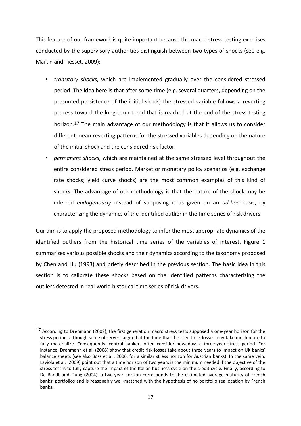This feature of our framework is quite important because the macro stress testing exercises conducted by the supervisory authorities distinguish between two types of shocks (see e.g. Martin and Tiesset, 2009):

- *transitory shocks*, which are implemented gradually over the considered stressed period. The idea here is that after some time (e.g. several quarters, depending on the presumed persistence of the initial shock) the stressed variable follows a reverting process toward the long term trend that is reached at the end of the stress testing horizon.17 The main advantage of our methodology is that it allows us to consider different mean reverting patterns for the stressed variables depending on the nature of the initial shock and the considered risk factor.
- *permanent shocks*, which are maintained at the same stressed level throughout the entire considered stress period. Market or monetary policy scenarios (e.g. exchange rate shocks; yield curve shocks) are the most common examples of this kind of shocks. The advantage of our methodology is that the nature of the shock may be inferred *endogenously* instead of supposing it as given on an *ad-hoc* basis, by characterizing the dynamics of the identified outlier in the time series of risk drivers.

Our aim is to apply the proposed methodology to infer the most appropriate dynamics of the identified outliers from the historical time series of the variables of interest. Figure 1 summarizes various possible shocks and their dynamics according to the taxonomy proposed by Chen and Liu (1993) and briefly described in the previous section. The basic idea in this section is to calibrate these shocks based on the identified patterns characterizing the outliers detected in real-world historical time series of risk drivers.

<sup>17</sup> According to Drehmann (2009), the first generation macro stress tests supposed a one-year horizon for the stress period, although some observers argued at the time that the credit risk losses may take much more to fully materialize. Consequently, central bankers often consider nowadays a three-year stress period. For instance, Drehmann et al. (2008) show that credit risk losses take about three years to impact on UK banks' balance sheets (see also Boss et al., 2006, for a similar stress horizon for Austrian banks). In the same vein, Laviola et al. (2009) point out that a time horizon of two years is the minimum needed if the objective of the stress test is to fully capture the impact of the Italian business cycle on the credit cycle. Finally, according to De Bandt and Oung (2004), a two-year horizon corresponds to the estimated average maturity of French banks' portfolios and is reasonably well-matched with the hypothesis of no portfolio reallocation by French banks.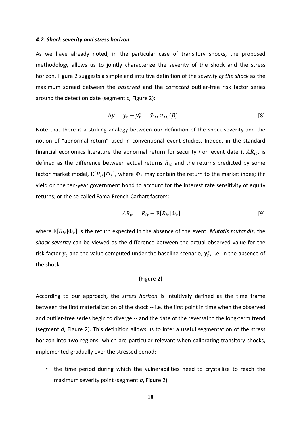#### *4.2. Shock severity and stress horizon*

As we have already noted, in the particular case of transitory shocks, the proposed methodology allows us to jointly characterize the severity of the shock and the stress horizon. Figure 2 suggests a simple and intuitive definition of the *severity of the shock* as the maximum spread between the *observed* and the *corrected* outlier-free risk factor series around the detection date (segment *c*, Figure 2):

$$
\Delta y = y_t - y_t^* = \widehat{\omega}_{TC} v_{TC}(B) \tag{8}
$$

Note that there is a striking analogy between our definition of the shock severity and the notion of "abnormal return" used in conventional event studies. Indeed, in the standard financial economics literature the abnormal return for security *i* on event date *t*,  $AR_{it}$ , is defined as the difference between actual returns  $R_{it}$  and the returns predicted by some factor market model,  $\text{E}[R_{it}|\Phi_t]$ , where  $\Phi_t$  may contain the return to the market index; the yield on the ten-year government bond to account for the interest rate sensitivity of equity returns; or the so-called Fama-French-Carhart factors:

$$
AR_{it} = R_{it} - E[R_{it}|\Phi_t]
$$
 [9]

where  $\mathrm{E}[R_{it}|\Phi_t]$  is the return expected in the absence of the event. *Mutatis mutandis*, the *shock severity* can be viewed as the difference between the actual observed value for the risk factor  $y_t$  and the value computed under the baseline scenario,  $y_t^*$ , i.e. in the absence of the shock.

#### {Figure 2}

According to our approach, the *stress horizon* is intuitively defined as the time frame between the first materialization of the shock -- i.e. the first point in time when the observed and outlier-free series begin to diverge -- and the date of the reversal to the long-term trend (segment *d*, Figure 2). This definition allows us to infer a useful segmentation of the stress horizon into two regions, which are particular relevant when calibrating transitory shocks, implemented gradually over the stressed period:

• the time period during which the vulnerabilities need to crystallize to reach the maximum severity point (segment *a*, Figure 2)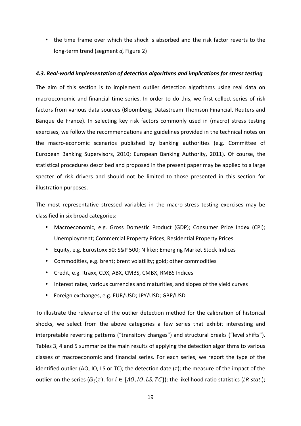• the time frame over which the shock is absorbed and the risk factor reverts to the long-term trend (segment *d*, Figure 2)

## *4.3. Real-world implementation of detection algorithms and implications for stress testing*

The aim of this section is to implement outlier detection algorithms using real data on macroeconomic and financial time series. In order to do this, we first collect series of risk factors from various data sources (Bloomberg, Datastream Thomson Financial, Reuters and Banque de France). In selecting key risk factors commonly used in (macro) stress testing exercises, we follow the recommendations and guidelines provided in the technical notes on the macro-economic scenarios published by banking authorities (e.g. Committee of European Banking Supervisors, 2010; European Banking Authority, 2011). Of course, the statistical procedures described and proposed in the present paper may be applied to a large specter of risk drivers and should not be limited to those presented in this section for illustration purposes.

The most representative stressed variables in the macro-stress testing exercises may be classified in six broad categories:

- Macroeconomic, e.g. Gross Domestic Product (GDP); Consumer Price Index (CPI); Unemployment; Commercial Property Prices; Residential Property Prices
- Equity, e.g. Eurostoxx 50; S&P 500; Nikkei; Emerging Market Stock Indices
- Commodities, e.g. brent; brent volatility; gold; other commodities
- Credit, e.g. Itraxx, CDX, ABX, CMBS, CMBX, RMBS Indices
- Interest rates, various currencies and maturities, and slopes of the yield curves
- Foreign exchanges, e.g. EUR/USD; JPY/USD; GBP/USD

To illustrate the relevance of the outlier detection method for the calibration of historical shocks, we select from the above categories a few series that exhibit interesting and interpretable reverting patterns ("transitory changes") and structural breaks ("level shifts"). Tables 3, 4 and 5 summarize the main results of applying the detection algorithms to various classes of macroeconomic and financial series. For each series, we report the type of the identified outlier (AO, IO, LS or TC); the detection date  $(\tau)$ ; the measure of the impact of the outlier on the series  $(\widehat{\omega}_i(\tau))$ , for  $i \in \{AO, IO, LS, TC\}$ ; the likelihood ratio statistics (*LR-stat*.);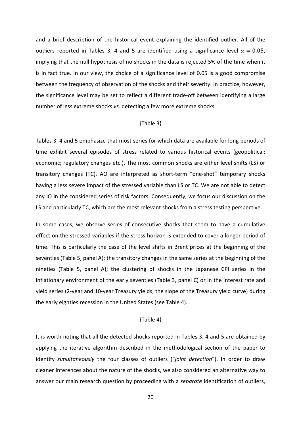and a brief description of the historical event explaining the identified outlier. All of the outliers reported in Tables 3, 4 and 5 are identified using a significance level  $\alpha = 0.05$ , implying that the null hypothesis of no shocks in the data is rejected 5% of the time when it is in fact true. In our view, the choice of a significance level of 0.05 is a good compromise between the frequency of observation of the shocks and their severity. In practice, however, the significance level may be set to reflect a different trade-off between identifying a large number of less extreme shocks *vs*. detecting a few more extreme shocks.

#### {Table 3}

Tables 3, 4 and 5 emphasize that most series for which data are available for long periods of time exhibit several episodes of stress related to various historical events (geopolitical; economic; regulatory changes etc.). The most common shocks are either level shifts (LS) or transitory changes (TC). AO are interpreted as short-term "one-shot" temporary shocks having a less severe impact of the stressed variable than LS or TC. We are not able to detect any IO in the considered series of risk factors. Consequently, we focus our discussion on the LS and particularly TC, which are the most relevant shocks from a stress testing perspective.

In some cases, we observe series of consecutive shocks that seem to have a cumulative effect on the stressed variables if the stress horizon is extended to cover a longer period of time. This is particularly the case of the level shifts in Brent prices at the beginning of the seventies (Table 5, panel A); the transitory changes in the same series at the beginning of the nineties (Table 5, panel A); the clustering of shocks in the Japanese CPI series in the inflationary environment of the early seventies (Table 3, panel C) or in the interest rate and yield series (2-year and 10-year Treasury yields; the slope of the Treasury yield curve) during the early eighties recession in the United States (see Table 4).

### {Table 4}

It is worth noting that all the detected shocks reported in Tables 3, 4 and 5 are obtained by applying the iterative algorithm described in the methodological section of the paper to identify *simultaneously* the four classes of outliers ("*joint detection*"). In order to draw cleaner inferences about the nature of the shocks, we also considered an alternative way to answer our main research question by proceeding with a *separate* identification of outliers,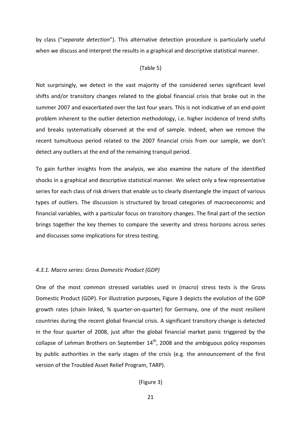by class ("*separate detection*"). This alternative detection procedure is particularly useful when we discuss and interpret the results in a graphical and descriptive statistical manner.

#### {Table 5}

Not surprisingly, we detect in the vast majority of the considered series significant level shifts and/or transitory changes related to the global financial crisis that broke out in the summer 2007 and exacerbated over the last four years. This is not indicative of an end-point problem inherent to the outlier detection methodology, i.e. higher incidence of trend shifts and breaks systematically observed at the end of sample. Indeed, when we remove the recent tumultuous period related to the 2007 financial crisis from our sample, we don't detect any outliers at the end of the remaining tranquil period.

To gain further insights from the analysis, we also examine the nature of the identified shocks in a graphical and descriptive statistical manner. We select only a few representative series for each class of risk drivers that enable us to clearly disentangle the impact of various types of outliers. The discussion is structured by broad categories of macroeconomic and financial variables, with a particular focus on transitory changes. The final part of the section brings together the key themes to compare the severity and stress horizons across series and discusses some implications for stress testing.

#### *4.3.1. Macro series: Gross Domestic Product (GDP)*

One of the most common stressed variables used in (macro) stress tests is the Gross Domestic Product (GDP). For illustration purposes, Figure 3 depicts the evolution of the GDP growth rates (chain linked, % quarter-on-quarter) for Germany, one of the most resilient countries during the recent global financial crisis. A significant transitory change is detected in the four quarter of 2008, just after the global financial market panic triggered by the collapse of Lehman Brothers on September  $14<sup>th</sup>$ , 2008 and the ambiguous policy responses by public authorities in the early stages of the crisis (e.g. the announcement of the first version of the Troubled Asset Relief Program, TARP).

## {Figure 3}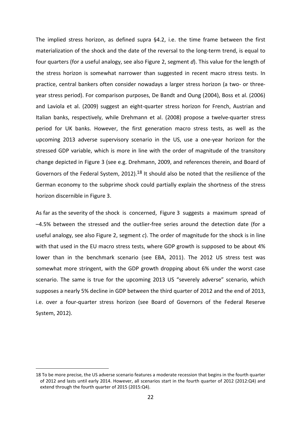The implied stress horizon, as defined supra §4.2, i.e. the time frame between the first materialization of the shock and the date of the reversal to the long-term trend, is equal to four quarters (for a useful analogy, see also Figure 2, segment *d*). This value for the length of the stress horizon is somewhat narrower than suggested in recent macro stress tests. In practice, central bankers often consider nowadays a larger stress horizon (a two- or threeyear stress period). For comparison purposes, De Bandt and Oung (2004), Boss et al. (2006) and Laviola et al. (2009) suggest an eight-quarter stress horizon for French, Austrian and Italian banks, respectively, while Drehmann et al. (2008) propose a twelve-quarter stress period for UK banks. However, the first generation macro stress tests, as well as the upcoming 2013 adverse supervisory scenario in the US, use a one-year horizon for the stressed GDP variable, which is more in line with the order of magnitude of the transitory change depicted in Figure 3 (see e.g. Drehmann, 2009, and references therein, and Board of Governors of the Federal System, 2012).18 It should also be noted that the resilience of the German economy to the subprime shock could partially explain the shortness of the stress horizon discernible in Figure 3.

As far as the severity of the shock is concerned, Figure 3 suggests a maximum spread of –4.5% between the stressed and the outlier-free series around the detection date (for a useful analogy, see also Figure 2, segment *c*). The order of magnitude for the shock is in line with that used in the EU macro stress tests, where GDP growth is supposed to be about 4% lower than in the benchmark scenario (see EBA, 2011). The 2012 US stress test was somewhat more stringent, with the GDP growth dropping about 6% under the worst case scenario. The same is true for the upcoming 2013 US "severely adverse" scenario, which supposes a nearly 5% decline in GDP between the third quarter of 2012 and the end of 2013, i.e. over a four-quarter stress horizon (see Board of Governors of the Federal Reserve System, 2012).

<sup>18</sup> To be more precise, the US adverse scenario features a moderate recession that begins in the fourth quarter of 2012 and lasts until early 2014. However, all scenarios start in the fourth quarter of 2012 (2012:Q4) and extend through the fourth quarter of 2015 (2015:Q4).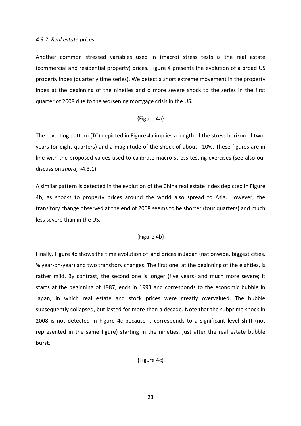#### *4.3.2. Real estate prices*

Another common stressed variables used in (macro) stress tests is the real estate (commercial and residential property) prices. Figure 4 presents the evolution of a broad US property index (quarterly time series). We detect a short extreme movement in the property index at the beginning of the nineties and o more severe shock to the series in the first quarter of 2008 due to the worsening mortgage crisis in the US.

### {Figure 4a}

The reverting pattern (TC) depicted in Figure 4a implies a length of the stress horizon of twoyears (or eight quarters) and a magnitude of the shock of about –10%. These figures are in line with the proposed values used to calibrate macro stress testing exercises (see also our discussion *supra*, §4.3.1).

A similar pattern is detected in the evolution of the China real estate index depicted in Figure 4b, as shocks to property prices around the world also spread to Asia. However, the transitory change observed at the end of 2008 seems to be shorter (four quarters) and much less severe than in the US.

## {Figure 4b}

Finally, Figure 4c shows the time evolution of land prices in Japan (nationwide, biggest cities, % year-on-year) and two transitory changes. The first one, at the beginning of the eighties, is rather mild. By contrast, the second one is longer (five years) and much more severe; it starts at the beginning of 1987, ends in 1993 and corresponds to the economic bubble in Japan, in which real estate and stock prices were greatly overvalued. The bubble subsequently collapsed, but lasted for more than a decade. Note that the subprime shock in 2008 is not detected in Figure 4c because it corresponds to a significant level shift (not represented in the same figure) starting in the nineties, just after the real estate bubble burst.

{Figure 4c}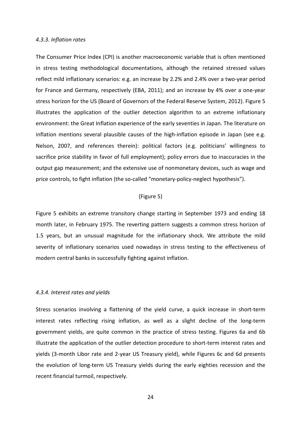#### *4.3.3. Inflation rates*

The Consumer Price Index (CPI) is another macroeconomic variable that is often mentioned in stress testing methodological documentations, although the retained stressed values reflect mild inflationary scenarios: e.g. an increase by 2.2% and 2.4% over a two-year period for France and Germany, respectively (EBA, 2011); and an increase by 4% over a one-year stress horizon for the US (Board of Governors of the Federal Reserve System, 2012). Figure 5 illustrates the application of the outlier detection algorithm to an extreme inflationary environment: the Great Inflation experience of the early seventies in Japan. The literature on inflation mentions several plausible causes of the high-inflation episode in Japan (see e.g. Nelson, 2007, and references therein): political factors (e.g. politicians' willingness to sacrifice price stability in favor of full employment); policy errors due to inaccuracies in the output gap measurement; and the extensive use of nonmonetary devices, such as wage and price controls, to fight inflation (the so-called "monetary-policy-neglect hypothesis").

## {Figure 5}

Figure 5 exhibits an extreme transitory change starting in September 1973 and ending 18 month later, in February 1975. The reverting pattern suggests a common stress horizon of 1.5 years, but an unusual magnitude for the inflationary shock. We attribute the mild severity of inflationary scenarios used nowadays in stress testing to the effectiveness of modern central banks in successfully fighting against inflation.

#### *4.3.4. Interest rates and yields*

Stress scenarios involving a flattening of the yield curve, a quick increase in short-term interest rates reflecting rising inflation, as well as a slight decline of the long-term government yields, are quite common in the practice of stress testing. Figures 6a and 6b illustrate the application of the outlier detection procedure to short-term interest rates and yields (3-month Libor rate and 2-year US Treasury yield), while Figures 6c and 6d presents the evolution of long-term US Treasury yields during the early eighties recession and the recent financial turmoil, respectively.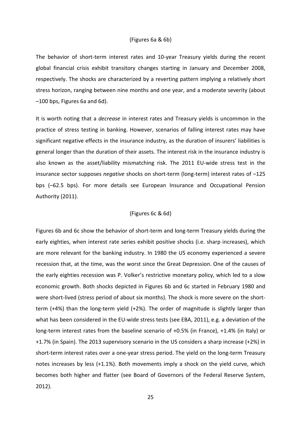#### {Figures 6a & 6b}

The behavior of short-term interest rates and 10-year Treasury yields during the recent global financial crisis exhibit transitory changes starting in January and December 2008, respectively. The shocks are characterized by a reverting pattern implying a relatively short stress horizon, ranging between nine months and one year, and a moderate severity (about –100 bps, Figures 6a and 6d).

It is worth noting that a *decrease* in interest rates and Treasury yields is uncommon in the practice of stress testing in banking. However, scenarios of falling interest rates may have significant negative effects in the insurance industry, as the duration of insurers' liabilities is general longer than the duration of their assets. The interest risk in the insurance industry is also known as the asset/liability mismatching risk. The 2011 EU-wide stress test in the insurance sector supposes *negative* shocks on short-term (long-term) interest rates of –125 bps (–62.5 bps). For more details see European Insurance and Occupational Pension Authority (2011).

### {Figures 6c & 6d}

Figures 6b and 6c show the behavior of short-term and long-term Treasury yields during the early eighties, when interest rate series exhibit positive shocks (i.e. sharp increases), which are more relevant for the banking industry. In 1980 the US economy experienced a severe recession that, at the time, was the worst since the Great Depression. One of the causes of the early eighties recession was P. Volker's restrictive monetary policy, which led to a slow economic growth. Both shocks depicted in Figures 6b and 6c started in February 1980 and were short-lived (stress period of about six months). The shock is more severe on the shortterm (+4%) than the long-term yield (+2%). The order of magnitude is slightly larger than what has been considered in the EU-wide stress tests (see EBA, 2011), e.g. a deviation of the long-term interest rates from the baseline scenario of +0.5% (in France), +1.4% (in Italy) or +1.7% (in Spain). The 2013 supervisory scenario in the US considers a sharp increase (+2%) in short-term interest rates over a one-year stress period. The yield on the long-term Treasury notes increases by less (+1.1%). Both movements imply a shock on the yield curve, which becomes both higher and flatter (see Board of Governors of the Federal Reserve System, 2012).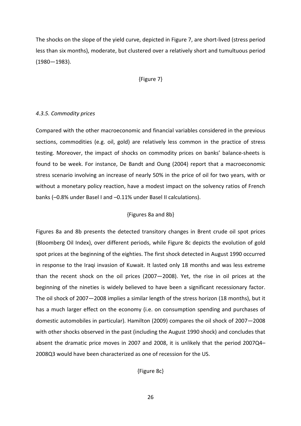The shocks on the slope of the yield curve, depicted in Figure 7, are short-lived (stress period less than six months), moderate, but clustered over a relatively short and tumultuous period (1980—1983).

#### {Figure 7}

#### *4.3.5. Commodity prices*

Compared with the other macroeconomic and financial variables considered in the previous sections, commodities (e.g. oil, gold) are relatively less common in the practice of stress testing. Moreover, the impact of shocks on commodity prices on banks' balance-sheets is found to be week. For instance, De Bandt and Oung (2004) report that a macroeconomic stress scenario involving an increase of nearly 50% in the price of oil for two years, with or without a monetary policy reaction, have a modest impact on the solvency ratios of French banks (–0.8% under Basel I and –0.11% under Basel II calculations).

## {Figures 8a and 8b}

Figures 8a and 8b presents the detected transitory changes in Brent crude oil spot prices (Bloomberg Oil Index), over different periods, while Figure 8c depicts the evolution of gold spot prices at the beginning of the eighties. The first shock detected in August 1990 occurred in response to the Iraqi invasion of Kuwait. It lasted only 18 months and was less extreme than the recent shock on the oil prices (2007—2008). Yet, the rise in oil prices at the beginning of the nineties is widely believed to have been a significant recessionary factor. The oil shock of 2007—2008 implies a similar length of the stress horizon (18 months), but it has a much larger effect on the economy (i.e. on consumption spending and purchases of domestic automobiles in particular). Hamilton (2009) compares the oil shock of 2007—2008 with other shocks observed in the past (including the August 1990 shock) and concludes that absent the dramatic price moves in 2007 and 2008, it is unlikely that the period 2007Q4– 2008Q3 would have been characterized as one of recession for the US.

{Figure 8c}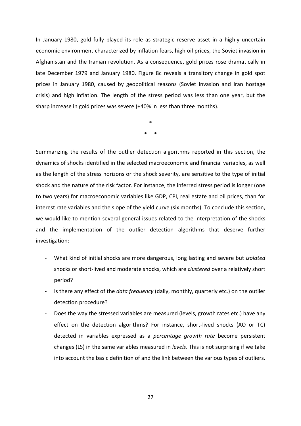In January 1980, gold fully played its role as strategic reserve asset in a highly uncertain economic environment characterized by inflation fears, high oil prices, the Soviet invasion in Afghanistan and the Iranian revolution. As a consequence, gold prices rose dramatically in late December 1979 and January 1980. Figure 8c reveals a transitory change in gold spot prices in January 1980, caused by geopolitical reasons (Soviet invasion and Iran hostage crisis) and high inflation. The length of the stress period was less than one year, but the sharp increase in gold prices was severe (+40% in less than three months).

> \* \* \*

Summarizing the results of the outlier detection algorithms reported in this section, the dynamics of shocks identified in the selected macroeconomic and financial variables, as well as the length of the stress horizons or the shock severity, are sensitive to the type of initial shock and the nature of the risk factor. For instance, the inferred stress period is longer (one to two years) for macroeconomic variables like GDP, CPI, real estate and oil prices, than for interest rate variables and the slope of the yield curve (six months). To conclude this section, we would like to mention several general issues related to the interpretation of the shocks and the implementation of the outlier detection algorithms that deserve further investigation:

- What kind of initial shocks are more dangerous, long lasting and severe but *isolated*  shocks or short-lived and moderate shocks, which are *clustered* over a relatively short period?
- Is there any effect of the *data frequency* (daily, monthly, quarterly etc.) on the outlier detection procedure?
- Does the way the stressed variables are measured (levels, growth rates etc.) have any effect on the detection algorithms? For instance, short-lived shocks (AO or TC) detected in variables expressed as a *percentage growth rate* become persistent changes (LS) in the same variables measured in *levels*. This is not surprising if we take into account the basic definition of and the link between the various types of outliers.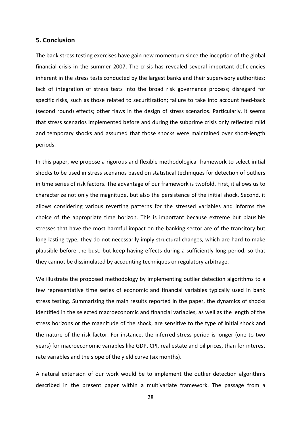# **5. Conclusion**

The bank stress testing exercises have gain new momentum since the inception of the global financial crisis in the summer 2007. The crisis has revealed several important deficiencies inherent in the stress tests conducted by the largest banks and their supervisory authorities: lack of integration of stress tests into the broad risk governance process; disregard for specific risks, such as those related to securitization; failure to take into account feed-back (second round) effects; other flaws in the design of stress scenarios. Particularly, it seems that stress scenarios implemented before and during the subprime crisis only reflected mild and temporary shocks and assumed that those shocks were maintained over short-length periods.

In this paper, we propose a rigorous and flexible methodological framework to select initial shocks to be used in stress scenarios based on statistical techniques for detection of outliers in time series of risk factors. The advantage of our framework is twofold. First, it allows us to characterize not only the magnitude, but also the persistence of the initial shock. Second, it allows considering various reverting patterns for the stressed variables and informs the choice of the appropriate time horizon. This is important because extreme but plausible stresses that have the most harmful impact on the banking sector are of the transitory but long lasting type; they do not necessarily imply structural changes, which are hard to make plausible before the bust, but keep having effects during a sufficiently long period, so that they cannot be dissimulated by accounting techniques or regulatory arbitrage.

We illustrate the proposed methodology by implementing outlier detection algorithms to a few representative time series of economic and financial variables typically used in bank stress testing. Summarizing the main results reported in the paper, the dynamics of shocks identified in the selected macroeconomic and financial variables, as well as the length of the stress horizons or the magnitude of the shock, are sensitive to the type of initial shock and the nature of the risk factor. For instance, the inferred stress period is longer (one to two years) for macroeconomic variables like GDP, CPI, real estate and oil prices, than for interest rate variables and the slope of the yield curve (six months).

A natural extension of our work would be to implement the outlier detection algorithms described in the present paper within a multivariate framework. The passage from a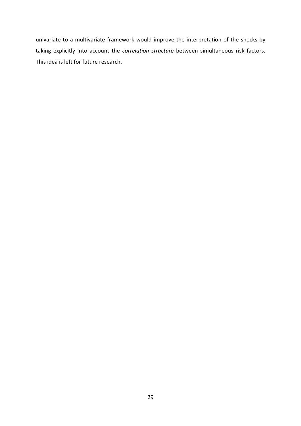univariate to a multivariate framework would improve the interpretation of the shocks by taking explicitly into account the *correlation structure* between simultaneous risk factors. This idea is left for future research.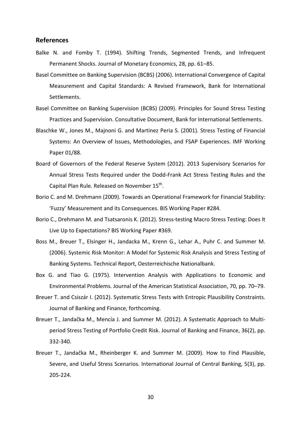## **References**

- Balke N. and Fomby T. (1994). Shifting Trends, Segmented Trends, and Infrequent Permanent Shocks. Journal of Monetary Economics, 28, pp. 61–85.
- Basel Committee on Banking Supervision (BCBS) (2006). International Convergence of Capital Measurement and Capital Standards: A Revised Framework, Bank for International Settlements.
- Basel Committee on Banking Supervision (BCBS) (2009). Principles for Sound Stress Testing Practices and Supervision. Consultative Document, Bank for International Settlements.
- Blaschke W., Jones M., Majnoni G. and Martinez Peria S. (2001). Stress Testing of Financial Systems: An Overview of Issues, Methodologies, and FSAP Experiences. IMF Working Paper 01/88.
- Board of Governors of the Federal Reserve System (2012). 2013 Supervisory Scenarios for Annual Stress Tests Required under the Dodd-Frank Act Stress Testing Rules and the Capital Plan Rule. Released on November 15<sup>th</sup>.
- Borio C. and M. Drehmann (2009). Towards an Operational Framework for Financial Stability: 'Fuzzy' Measurement and its Consequences. BIS Working Paper #284.
- Borio C., Drehmann M. and Tsatsaronis K. (2012). Stress-testing Macro Stress Testing: Does It Live Up to Expectations? BIS Working Paper #369.
- Boss M., Breuer T., Elsinger H., Jandacka M., Krenn G., Lehar A., Puhr C. and Summer M. (2006). Systemic Risk Monitor: A Model for Systemic Risk Analysis and Stress Testing of Banking Systems. Technical Report, Oesterreichische Nationalbank.
- Box G. and Tiao G. (1975). Intervention Analysis with Applications to Economic and Environmental Problems. Journal of the American Statistical Association, 70, pp. 70–79.
- Breuer T. and Csiszár I. (2012). Systematic Stress Tests with Entropic Plausibility Constraints. Journal of Banking and Finance, forthcoming.
- Breuer T., Jandačka M., Mencía J. and Summer M. (2012). A Systematic Approach to Multiperiod Stress Testing of Portfolio Credit Risk. Journal of Banking and Finance, 36(2), pp. 332-340.
- Breuer T., Jandačka M., Rheinberger K. and Summer M. (2009). How to Find Plausible, Severe, and Useful Stress Scenarios. International Journal of Central Banking, 5(3), pp. 205-224.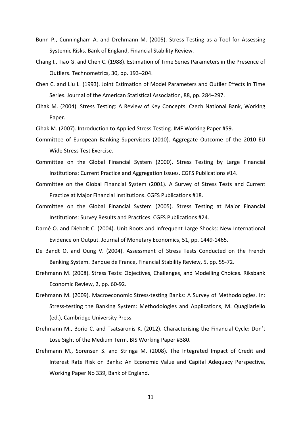- Bunn P., Cunningham A. and Drehmann M. (2005). Stress Testing as a Tool for Assessing Systemic Risks. Bank of England, Financial Stability Review.
- Chang I., Tiao G. and Chen C. (1988). Estimation of Time Series Parameters in the Presence of Outliers. Technometrics, 30, pp. 193–204.
- Chen C. and Liu L. (1993). Joint Estimation of Model Parameters and Outlier Effects in Time Series. Journal of the American Statistical Association, 88, pp. 284–297.
- Cihak M. (2004). Stress Testing: A Review of Key Concepts. Czech National Bank, Working Paper.

Cihak M. (2007). Introduction to Applied Stress Testing. IMF Working Paper #59.

- Committee of European Banking Supervisors (2010). Aggregate Outcome of the 2010 EU Wide Stress Test Exercise.
- Committee on the Global Financial System (2000). Stress Testing by Large Financial Institutions: Current Practice and Aggregation Issues. CGFS Publications #14.
- Committee on the Global Financial System (2001). A Survey of Stress Tests and Current Practice at Major Financial Institutions. CGFS Publications #18.
- Committee on the Global Financial System (2005). Stress Testing at Major Financial Institutions: Survey Results and Practices. CGFS Publications #24.
- Darné O. and Diebolt C. (2004). Unit Roots and Infrequent Large Shocks: New International Evidence on Output. Journal of Monetary Economics, 51, pp. 1449-1465.
- De Bandt O. and Oung V. (2004). Assessment of Stress Tests Conducted on the French Banking System. Banque de France, Financial Stability Review, 5, pp. 55-72.
- Drehmann M. (2008). Stress Tests: Objectives, Challenges, and Modelling Choices. Riksbank Economic Review, 2, pp. 60-92.
- Drehmann M. (2009). Macroeconomic Stress-testing Banks: A Survey of Methodologies. In: Stress-testing the Banking System: Methodologies and Applications, M. Quagliariello (ed.), Cambridge University Press.
- Drehmann M., Borio C. and Tsatsaronis K. (2012). Characterising the Financial Cycle: Don't Lose Sight of the Medium Term. BIS Working Paper #380.
- Drehmann M., Sorensen S. and Stringa M. (2008). The Integrated Impact of Credit and Interest Rate Risk on Banks: An Economic Value and Capital Adequacy Perspective, Working Paper No 339, Bank of England.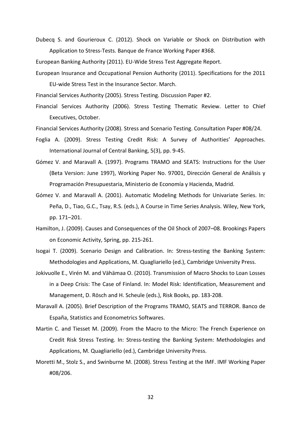Dubecq S. and Gourieroux C. (2012). Shock on Variable or Shock on Distribution with Application to Stress-Tests. Banque de France Working Paper #368.

European Banking Authority (2011). EU-Wide Stress Test Aggregate Report.

European Insurance and Occupational Pension Authority (2011). Specifications for the 2011 EU-wide Stress Test in the Insurance Sector. March.

Financial Services Authority (2005). Stress Testing. Discussion Paper #2.

- Financial Services Authority (2006). Stress Testing Thematic Review. Letter to Chief Executives, October.
- Financial Services Authority (2008). Stress and Scenario Testing. Consultation Paper #08/24.
- Foglia A. (2009). Stress Testing Credit Risk: A Survey of Authorities' Approaches. International Journal of Central Banking, 5(3), pp. 9-45.
- Gómez V. and Maravall A. (1997). Programs TRAMO and SEATS: Instructions for the User (Beta Version: June 1997), Working Paper No. 97001, Dirección General de Análisis y Programación Presupuestaria, Ministerio de Economía y Hacienda, Madrid.
- Gómez V. and Maravall A. (2001). Automatic Modeling Methods for Univariate Series. In: Peña, D., Tiao, G.C., Tsay, R.S. (eds.), A Course in Time Series Analysis. Wiley, New York, pp. 171–201.
- Hamilton, J. (2009). Causes and Consequences of the Oil Shock of 2007–08. Brookings Papers on Economic Activity, Spring, pp. 215-261.
- Isogai T. (2009). Scenario Design and Calibration. In: Stress-testing the Banking System: Methodologies and Applications, M. Quagliariello (ed.), Cambridge University Press.
- Jokivuolle E., Virén M. and Vähämaa O. (2010). Transmission of Macro Shocks to Loan Losses in a Deep Crisis: The Case of Finland. In: Model Risk: Identification, Measurement and Management, D. Rösch and H. Scheule (eds.), Risk Books, pp. 183-208.
- Maravall A. (2005). Brief Description of the Programs TRAMO, SEATS and TERROR. Banco de España, Statistics and Econometrics Softwares.
- Martin C. and Tiesset M. (2009). From the Macro to the Micro: The French Experience on Credit Risk Stress Testing. In: Stress-testing the Banking System: Methodologies and Applications, M. Quagliariello (ed.), Cambridge University Press.
- Moretti M., Stolz S., and Swinburne M. (2008). Stress Testing at the IMF. IMF Working Paper #08/206.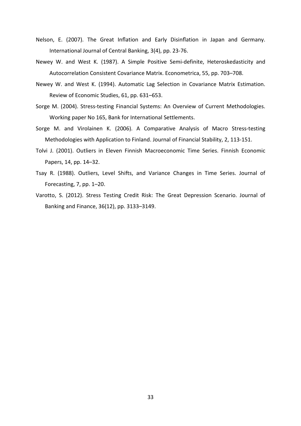- Nelson, E. (2007). The Great Inflation and Early Disinflation in Japan and Germany. International Journal of Central Banking, 3(4), pp. 23-76.
- Newey W. and West K. (1987). A Simple Positive Semi-definite, Heteroskedasticity and Autocorrelation Consistent Covariance Matrix. Econometrica, 55, pp. 703–708.
- Newey W. and West K. (1994). Automatic Lag Selection in Covariance Matrix Estimation. Review of Economic Studies, 61, pp. 631–653.
- Sorge M. (2004). Stress-testing Financial Systems: An Overview of Current Methodologies. Working paper No 165, Bank for International Settlements.
- Sorge M. and Virolainen K. (2006). A Comparative Analysis of Macro Stress-testing Methodologies with Application to Finland. Journal of Financial Stability, 2, 113-151.
- Tolvi J. (2001). Outliers in Eleven Finnish Macroeconomic Time Series. Finnish Economic Papers, 14, pp. 14–32.
- Tsay R. (1988). Outliers, Level Shifts, and Variance Changes in Time Series. Journal of Forecasting, 7, pp. 1–20.
- Varotto, S. (2012). Stress Testing Credit Risk: The Great Depression Scenario. Journal of Banking and Finance, 36(12), pp. 3133–3149.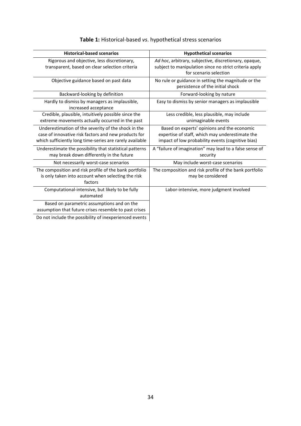| <b>Historical-based scenarios</b>                                                                                                                                       | <b>Hypothetical scenarios</b>                                                                                                                       |
|-------------------------------------------------------------------------------------------------------------------------------------------------------------------------|-----------------------------------------------------------------------------------------------------------------------------------------------------|
| Rigorous and objective, less discretionary,<br>transparent, based on clear selection criteria                                                                           | Ad hoc, arbitrary, subjective, discretionary, opaque,<br>subject to manipulation since no strict criteria apply<br>for scenario selection           |
| Objective guidance based on past data                                                                                                                                   | No rule or guidance in setting the magnitude or the<br>persistence of the initial shock                                                             |
| Backward-looking by definition                                                                                                                                          | Forward-looking by nature                                                                                                                           |
| Hardly to dismiss by managers as implausible,<br>increased acceptance                                                                                                   | Easy to dismiss by senior managers as implausible                                                                                                   |
| Credible, plausible, intuitively possible since the<br>extreme movements actually occurred in the past                                                                  | Less credible, less plausible, may include<br>unimaginable events                                                                                   |
| Underestimation of the severity of the shock in the<br>case of innovative risk factors and new products for<br>which sufficiently long time-series are rarely available | Based on experts' opinions and the economic<br>expertise of staff, which may underestimate the<br>impact of low probability events (cognitive bias) |
| Underestimate the possibility that statistical patterns<br>may break down differently in the future                                                                     | A "failure of imagination" may lead to a false sense of<br>security                                                                                 |
| Not necessarily worst-case scenarios                                                                                                                                    | May include worst-case scenarios                                                                                                                    |
| The composition and risk profile of the bank portfolio<br>is only taken into account when selecting the risk<br>factors                                                 | The composition and risk profile of the bank portfolio<br>may be considered                                                                         |
| Computational-intensive, but likely to be fully<br>automated                                                                                                            | Labor-intensive, more judgment involved                                                                                                             |
| Based on parametric assumptions and on the<br>assumption that future crises resemble to past crises                                                                     |                                                                                                                                                     |
| Do not include the possibility of inexperienced events                                                                                                                  |                                                                                                                                                     |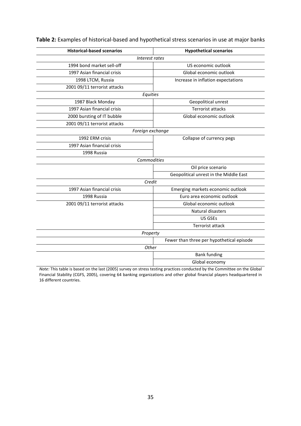| <b>Historical-based scenarios</b> | <b>Hypothetical scenarios</b>             |  |  |  |  |
|-----------------------------------|-------------------------------------------|--|--|--|--|
| Interest rates                    |                                           |  |  |  |  |
| 1994 bond market sell-off         | US economic outlook                       |  |  |  |  |
| 1997 Asian financial crisis       | Global economic outlook                   |  |  |  |  |
| 1998 LTCM, Russia                 | Increase in inflation expectations        |  |  |  |  |
| 2001 09/11 terrorist attacks      |                                           |  |  |  |  |
|                                   | Equities                                  |  |  |  |  |
| 1987 Black Monday                 | Geopolitical unrest                       |  |  |  |  |
| 1997 Asian financial crisis       | <b>Terrorist attacks</b>                  |  |  |  |  |
| 2000 bursting of IT bubble        | Global economic outlook                   |  |  |  |  |
| 2001 09/11 terrorist attacks      |                                           |  |  |  |  |
| Foreign exchange                  |                                           |  |  |  |  |
| 1992 ERM crisis                   | Collapse of currency pegs                 |  |  |  |  |
| 1997 Asian financial crisis       |                                           |  |  |  |  |
| 1998 Russia                       |                                           |  |  |  |  |
|                                   | Commodities                               |  |  |  |  |
|                                   | Oil price scenario                        |  |  |  |  |
|                                   | Geopolitical unrest in the Middle East    |  |  |  |  |
|                                   | Credit                                    |  |  |  |  |
| 1997 Asian financial crisis       | Emerging markets economic outlook         |  |  |  |  |
| 1998 Russia                       | Euro area economic outlook                |  |  |  |  |
| 2001 09/11 terrorist attacks      | Global economic outlook                   |  |  |  |  |
|                                   | Natural disasters                         |  |  |  |  |
|                                   | <b>US GSEs</b>                            |  |  |  |  |
|                                   | <b>Terrorist attack</b>                   |  |  |  |  |
|                                   | Property                                  |  |  |  |  |
|                                   | Fewer than three per hypothetical episode |  |  |  |  |
|                                   | Other                                     |  |  |  |  |
|                                   | <b>Bank funding</b>                       |  |  |  |  |
|                                   | Global economy                            |  |  |  |  |

# **Table 2:** Examples of historical-based and hypothetical stress scenarios in use at major banks

*Note:* This table is based on the last (2005) survey on stress testing practices conducted by the Committee on the Global Financial Stability (CGFS, 2005), covering 64 banking organizations and other global financial players headquartered in 16 different countries.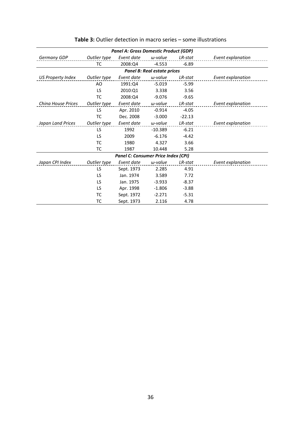| <b>Panel A: Gross Domestic Product (GDP)</b> |              |            |                 |          |                   |  |
|----------------------------------------------|--------------|------------|-----------------|----------|-------------------|--|
| Germany GDP                                  | Outlier type | Event date | $\omega$ -value | LR-stat  | Event explanation |  |
|                                              | ТC           | 2008:Q4    | $-4.553$        | $-6.89$  |                   |  |
| <b>Panel B: Real estate prices</b>           |              |            |                 |          |                   |  |
| <b>US Property Index</b>                     | Outlier type | Event date | $\omega$ -value | LR-stat  | Event explanation |  |
|                                              | AO           | 1991:04    | $-5.019$        | $-5.99$  |                   |  |
|                                              | LS           | 2010:01    | 3.338           | 3.56     |                   |  |
|                                              | <b>TC</b>    | 2008:04    | $-9.076$        | $-9.65$  |                   |  |
| China House Prices                           | Outlier type | Event date | $\omega$ -value | LR-stat  | Event explanation |  |
|                                              | LS           | Apr. 2010  | $-0.914$        | $-4.05$  |                   |  |
|                                              | <b>TC</b>    | Dec. 2008  | $-3.000$        | $-22.13$ |                   |  |
| Japan Land Prices                            | Outlier type | Event date | $\omega$ -value | LR-stat  | Event explanation |  |
|                                              | LS.          | 1992       | $-10.389$       | $-6.21$  |                   |  |
|                                              | LS           | 2009       | $-6.176$        | $-4.42$  |                   |  |
|                                              | TC           | 1980       | 4.327           | 3.66     |                   |  |
|                                              | <b>TC</b>    | 1987       | 10.448          | 5.28     |                   |  |
| Panel C: Consumer Price Index (CPI)          |              |            |                 |          |                   |  |
| Japan CPI Index                              | Outlier type | Event date | $\omega$ -value | LR-stat  | Event explanation |  |
|                                              | LS           | Sept. 1973 | 2.285           | 4.91     |                   |  |
|                                              | LS           | Jan. 1974  | 3.589           | 7.72     |                   |  |
|                                              | LS           | Jan. 1975  | $-3.933$        | $-8.37$  |                   |  |
|                                              | LS           | Apr. 1998  | $-1.806$        | $-3.88$  |                   |  |
|                                              | ТC           | Sept. 1972 | $-2.271$        | $-5.31$  |                   |  |
|                                              | ТC           | Sept. 1973 | 2.116           | 4.78     |                   |  |

**Table 3:** Outlier detection in macro series – some illustrations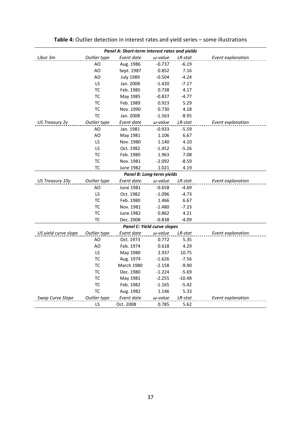| Panel A: Short-term interest rates and yields |              |                  |                           |            |                   |
|-----------------------------------------------|--------------|------------------|---------------------------|------------|-------------------|
| Libor 3m                                      | Outlier type | Event date       | $\omega$ -value           | LR-stat    | Event explanation |
|                                               | AO           | Aug. 1986        | $-0.737$                  | $-6.19$    |                   |
|                                               | AO           | Sept. 1987       | 0.852                     | 7.16       |                   |
|                                               | AO           | <b>July 1989</b> | $-0.504$                  | $-4.24$    |                   |
|                                               | LS           | Jan. 2008        | $-1.420$                  | $-7.17$    |                   |
|                                               | TC           | Feb. 1985        | 0.738                     | 4.17       |                   |
|                                               | <b>TC</b>    | May 1985         | $-0.837$                  | $-4.77$    |                   |
|                                               | ТC           | Feb. 1989        | 0.923                     | 5.29       |                   |
|                                               | <b>TC</b>    | Nov. 1990        | 0.730                     | 4.18       |                   |
|                                               | <b>TC</b>    | Jan. 2008        | $-1.563$                  | $-8.95$    |                   |
| <b>US Treasury 2y</b>                         | Outlier type | Event date       | $\omega$ -value           | $LR$ -stat | Event explanation |
|                                               | AO           | Jan. 1981        | $-0.933$                  | $-5.59$    |                   |
|                                               | AO           | May 1981         | 1.106                     | 6.67       |                   |
|                                               | LS           | Nov. 1980        | 1.140                     | 4.10       |                   |
|                                               | LS           | Oct. 1982        | $-1.452$                  | $-5.26$    |                   |
|                                               | TC           | Feb. 1980        | 1.963                     | 7.08       |                   |
|                                               | <b>TC</b>    | Nov. 1981        | -2.092                    | $-8.59$    |                   |
|                                               | ТC           | <b>June 1982</b> | 1.021                     | 4.19       |                   |
|                                               |              |                  | Panel B: Long-term yields |            |                   |
| US Treasury 10y                               | Outlier type | Event date       | $\omega$ -value           | $LR$ -stat | Event explanation |
|                                               | AO           | June 1981        | $-0.658$                  | -4.69      |                   |
|                                               | LS           | Oct. 1982        | $-1.096$                  | $-4.73$    |                   |
|                                               | <b>TC</b>    | Feb. 1980        | 1.466                     | 6.67       |                   |
|                                               | TC           | Nov. 1981        | $-1.480$                  | $-7.23$    |                   |
|                                               | TC           | <b>June 1982</b> | 0.862                     | 4.21       |                   |
|                                               | TC           | Dec. 2008        | $-0.838$                  | $-4.09$    |                   |
| Panel C: Yield curve slopes                   |              |                  |                           |            |                   |
| US yield curve slope                          | Outlier type | Event date       | $\omega$ -value           | LR-stat    | Event explanation |
|                                               | AO           | Oct. 1973        | 0.772                     | 5.35       |                   |
|                                               | AO           | Feb. 1974        | 0.618                     | 4.29       |                   |
|                                               | LS.          | May 1980         | 2.937                     | 10.75      |                   |
|                                               | ТC           | Aug. 1974        | $-1.626$                  | $-7.56$    |                   |
|                                               | ТC           | March 1980       | $-2.158$                  | $-9.90$    |                   |
|                                               | TC           | Dec. 1980        | $-1.224$                  | $-5.69$    |                   |
|                                               | ТC           | May 1981         | $-2.255$                  | $-10.48$   |                   |
|                                               | TC           | Feb. 1982        | $-1.165$                  | $-5.42$    |                   |
|                                               | <b>TC</b>    | Aug. 1982        | 1.146                     | 5.33       |                   |
| Swap Curve Slope                              | Outlier type | Event date       | $\omega$ -value           | LR-stat    | Event explanation |
|                                               | LS           | Oct. 2008        | 0.785                     | 5.62       |                   |

**Table 4:** Outlier detection in interest rates and yield series – some illustrations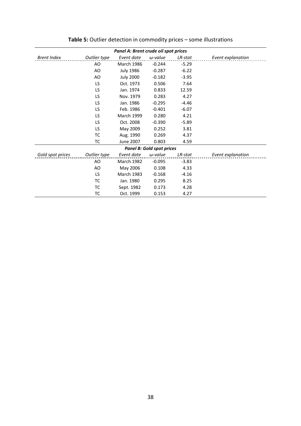| Panel A: Brent crude oil spot prices |              |                   |                 |         |                   |
|--------------------------------------|--------------|-------------------|-----------------|---------|-------------------|
| <b>Brent Index</b>                   | Outlier type | Event date        | $\omega$ -value | LR-stat | Event explanation |
|                                      | AO           | <b>March 1986</b> | $-0.244$        | $-5.29$ |                   |
|                                      | AO           | <b>July 1986</b>  | $-0.287$        | $-6.22$ |                   |
|                                      | AO           | <b>July 2000</b>  | $-0.182$        | $-3.95$ |                   |
|                                      | LS           | Oct. 1973         | 0.506           | 7.64    |                   |
|                                      | LS           | Jan. 1974         | 0.833           | 12.59   |                   |
|                                      | LS           | Nov. 1979         | 0.283           | 4.27    |                   |
|                                      | LS           | Jan. 1986         | $-0.295$        | $-4.46$ |                   |
|                                      | LS           | Feb. 1986         | $-0.401$        | $-6.07$ |                   |
|                                      | LS           | <b>March 1999</b> | 0.280           | 4.21    |                   |
|                                      | LS           | Oct. 2008         | $-0.390$        | $-5.89$ |                   |
|                                      | LS           | May 2009          | 0.252           | 3.81    |                   |
|                                      | ТC           | Aug. 1990         | 0.269           | 4.37    |                   |
|                                      | ТC           | June 2007         | 0.803           | 4.59    |                   |
| <b>Panel B: Gold spot prices</b>     |              |                   |                 |         |                   |
| Gold spot prices                     | Outlier type | Event date        | $\omega$ -value | LR-stat | Event explanation |
|                                      | AO           | <b>March 1982</b> | $-0.095$        | $-3.83$ |                   |
|                                      | AO           | May 2006          | 0.108           | 4.33    |                   |
|                                      | LS           | <b>March 1983</b> | $-0.168$        | $-4.16$ |                   |
|                                      | ТC           | Jan. 1980         | 0.295           | 8.25    |                   |
|                                      | ТC           | Sept. 1982        | 0.173           | 4.28    |                   |
|                                      | тс           | Oct. 1999         | 0.153           | 4.27    |                   |

**Table 5:** Outlier detection in commodity prices – some illustrations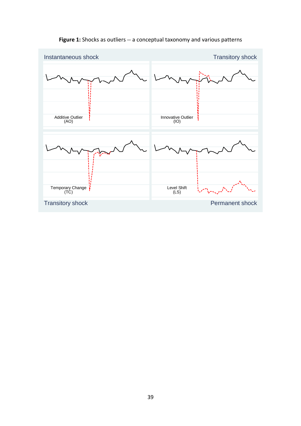

# **Figure 1:** Shocks as outliers -- a conceptual taxonomy and various patterns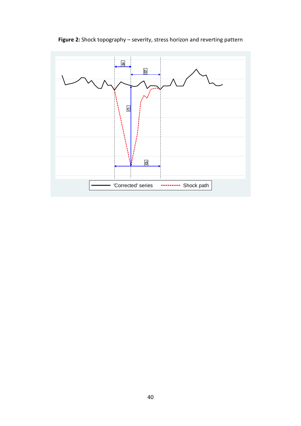**Figure 2:** Shock topography – severity, stress horizon and reverting pattern

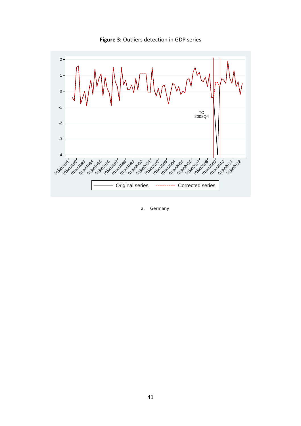



a. Germany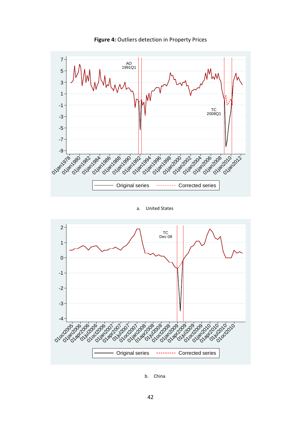

**Figure 4:** Outliers detection in Property Prices

#### a. United States



b. China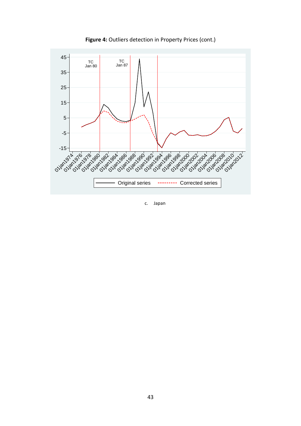

**Figure 4:** Outliers detection in Property Prices (cont.)

c. Japan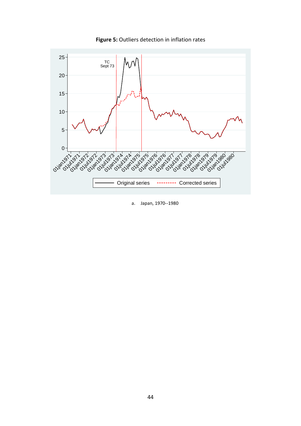

**Figure 5:** Outliers detection in inflation rates

a. Japan, 1970--1980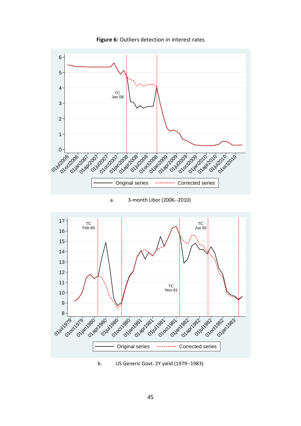

**Figure 6:** Outliers detection in interest rates

## a. 3-month Libor (2006--2010)



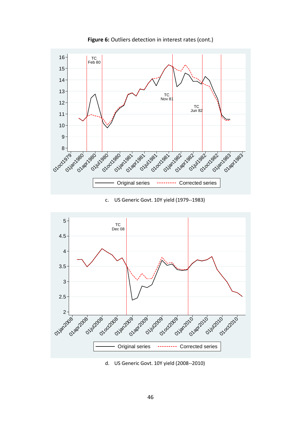

**Figure 6:** Outliers detection in interest rates (cont.)

## c. US Generic Govt. 10Y yield (1979--1983)



d. US Generic Govt. 10Y yield (2008--2010)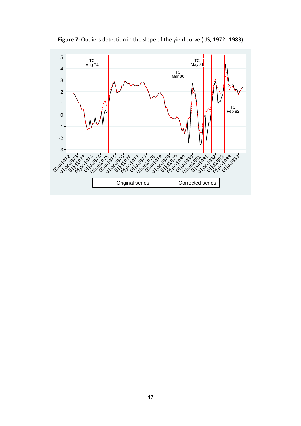

**Figure 7:** Outliers detection in the slope of the yield curve (US, 1972--1983)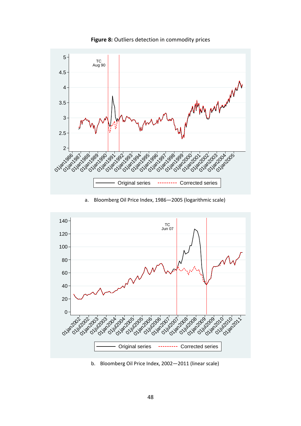

**Figure 8:** Outliers detection in commodity prices

a. Bloomberg Oil Price Index, 1986—2005 (logarithmic scale)



b. Bloomberg Oil Price Index, 2002—2011 (linear scale)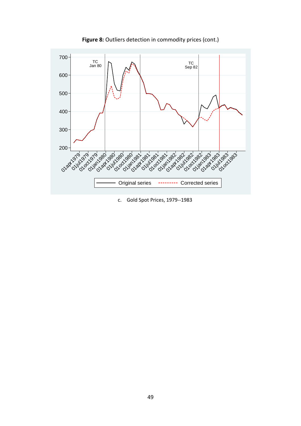

**Figure 8:** Outliers detection in commodity prices (cont.)

c. Gold Spot Prices, 1979--1983